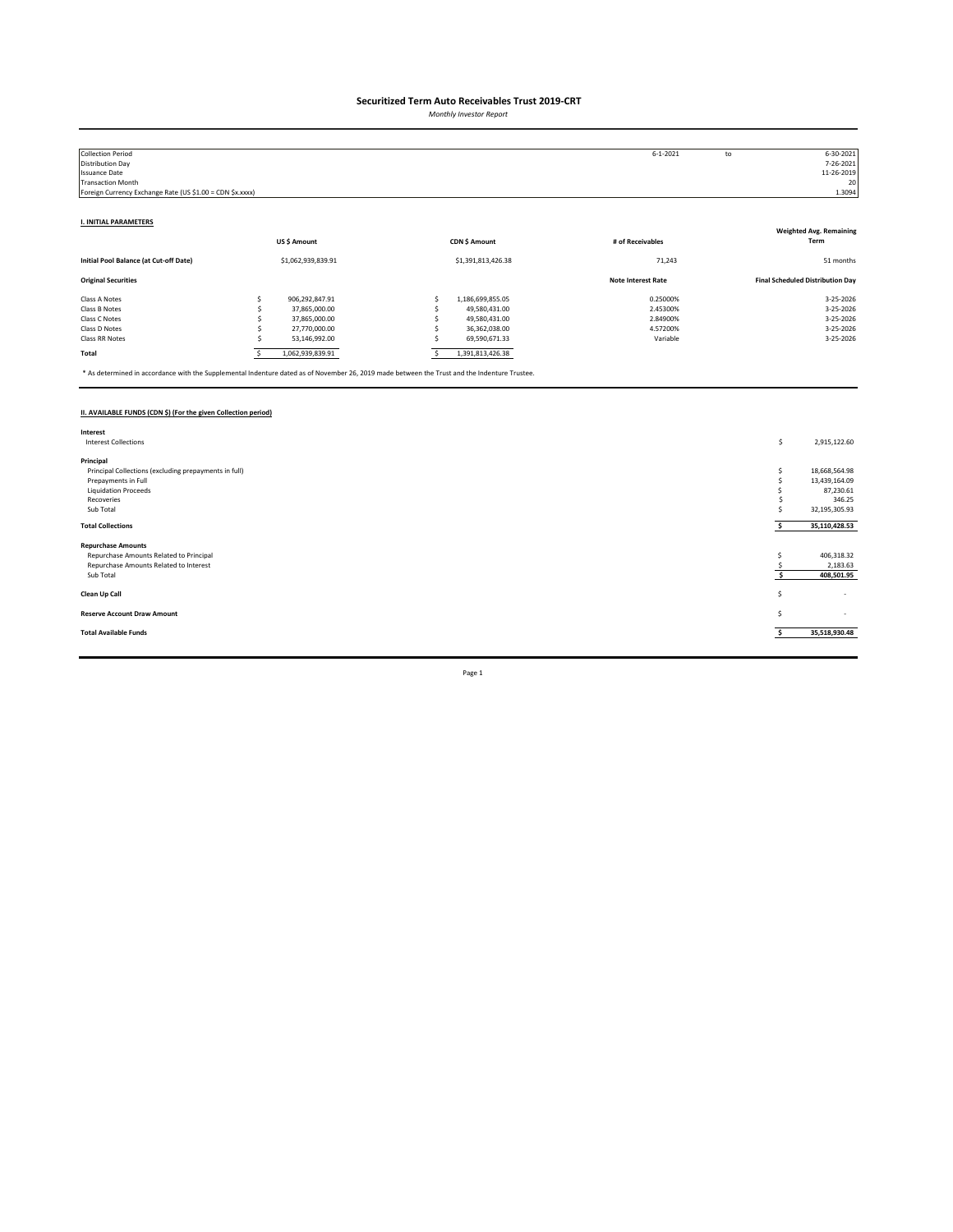*Monthly Investor Report*

| <b>Collection Period</b>                                  |                    |                    | $6 - 1 - 2021$            | to | 6-30-2021                               |
|-----------------------------------------------------------|--------------------|--------------------|---------------------------|----|-----------------------------------------|
| Distribution Day                                          |                    |                    |                           |    | 7-26-2021                               |
| <b>Issuance Date</b>                                      |                    |                    |                           |    | 11-26-2019                              |
| <b>Transaction Month</b>                                  |                    |                    |                           |    | 20                                      |
| Foreign Currency Exchange Rate (US \$1.00 = CDN \$x.xxxx) |                    |                    |                           |    | 1.3094                                  |
|                                                           |                    |                    |                           |    |                                         |
| <b>I. INITIAL PARAMETERS</b>                              |                    |                    |                           |    |                                         |
|                                                           |                    |                    |                           |    | <b>Weighted Avg. Remaining</b>          |
|                                                           | US\$ Amount        | CDN \$ Amount      | # of Receivables          |    | Term                                    |
|                                                           |                    |                    |                           |    |                                         |
| Initial Pool Balance (at Cut-off Date)                    | \$1,062,939,839.91 | \$1,391,813,426.38 | 71,243                    |    | 51 months                               |
| <b>Original Securities</b>                                |                    |                    | <b>Note Interest Rate</b> |    | <b>Final Scheduled Distribution Day</b> |
| Class A Notes                                             | 906,292,847.91     | 1,186,699,855.05   | 0.25000%                  |    | 3-25-2026                               |
| Class B Notes                                             | 37,865,000.00      | 49,580,431.00      | 2.45300%                  |    | 3-25-2026                               |
| Class C Notes                                             | 37,865,000.00      | 49,580,431.00      | 2.84900%                  |    | 3-25-2026                               |
| Class D Notes                                             | 27,770,000.00      | 36,362,038.00      | 4.57200%                  |    | 3-25-2026                               |
| Class RR Notes                                            | 53,146,992.00      | 69,590,671.33      | Variable                  |    | 3-25-2026                               |
| Total                                                     | 1,062,939,839.91   | 1,391,813,426.38   |                           |    |                                         |

\* As determined in accordance with the Supplemental Indenture dated as of November 26, 2019 made between the Trust and the Indenture Trustee.

### **II. AVAILABLE FUNDS (CDN \$) (For the given Collection period)**

| Interest                                              |    |                          |
|-------------------------------------------------------|----|--------------------------|
| <b>Interest Collections</b>                           | \$ | 2,915,122.60             |
|                                                       |    |                          |
| Principal                                             |    |                          |
| Principal Collections (excluding prepayments in full) |    | 18,668,564.98            |
| Prepayments in Full                                   |    | 13,439,164.09            |
| <b>Liquidation Proceeds</b>                           |    | 87,230.61                |
| Recoveries                                            |    | 346.25                   |
| Sub Total                                             |    | 32,195,305.93            |
|                                                       |    |                          |
| <b>Total Collections</b>                              |    | 35,110,428.53            |
| <b>Repurchase Amounts</b>                             |    |                          |
| Repurchase Amounts Related to Principal               |    | 406,318.32               |
| Repurchase Amounts Related to Interest                |    | 2,183.63                 |
| Sub Total                                             |    | 408,501.95               |
|                                                       |    |                          |
| Clean Up Call                                         | s  | $\overline{\phantom{a}}$ |
|                                                       |    |                          |
| <b>Reserve Account Draw Amount</b>                    | S  | $\sim$                   |
|                                                       |    |                          |
| <b>Total Available Funds</b>                          |    | 35,518,930.48            |
|                                                       |    |                          |
|                                                       |    |                          |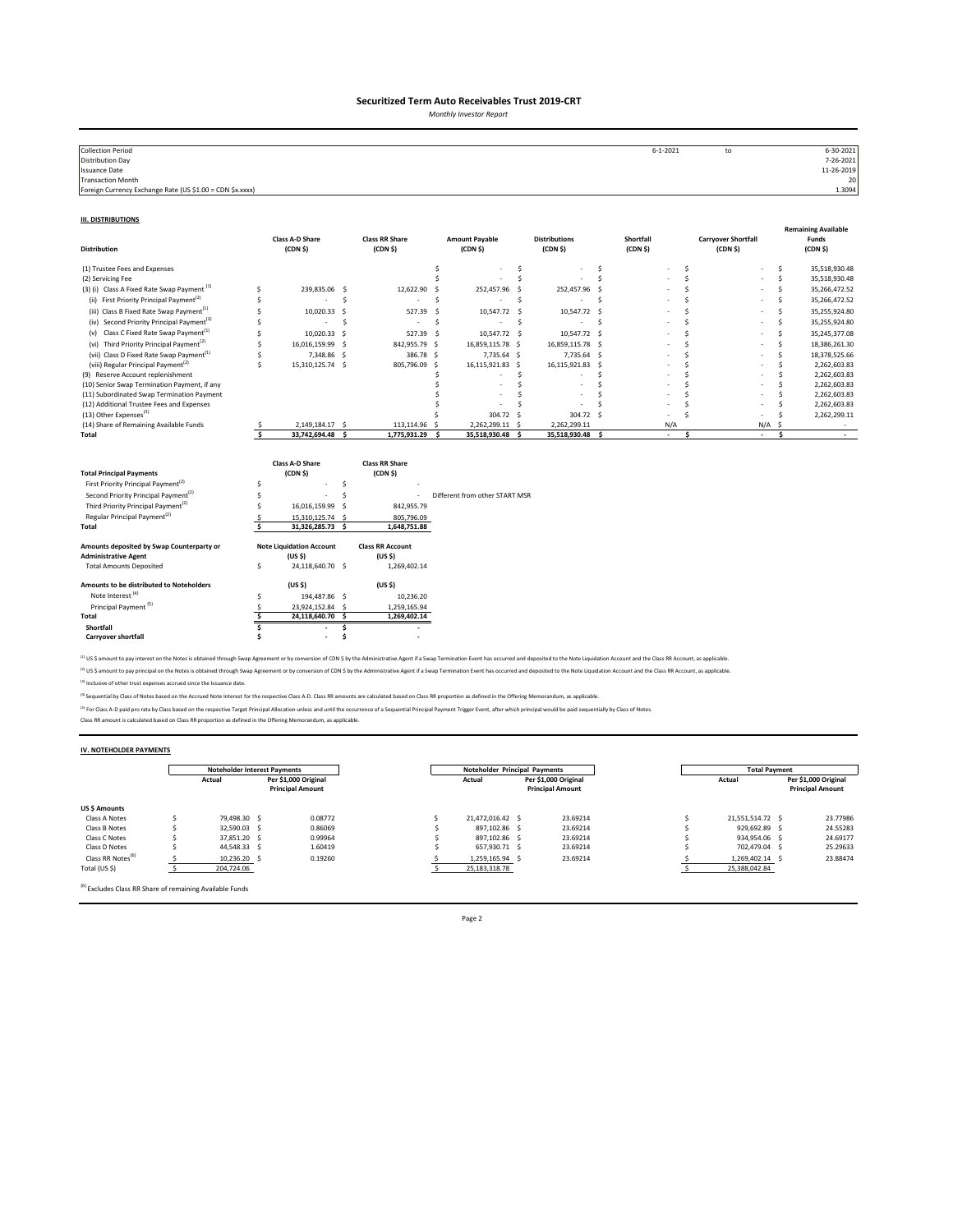*Monthly Investor Report*

| <b>Collection Period</b>                                  | $6 - 1 - 2021$ | to | 6-30-2021  |
|-----------------------------------------------------------|----------------|----|------------|
| <b>Distribution Day</b>                                   |                |    | 7-26-2021  |
| <b>Issuance Date</b>                                      |                |    | 11-26-2019 |
| <b>Transaction Month</b>                                  |                |    | 20         |
| Foreign Currency Exchange Rate (US \$1.00 = CDN \$x.xxxx) |                |    | 1.3094     |
|                                                           |                |    |            |

#### **III. DISTRIBUTIONS**

| <b>Distribution</b>                                                                                                                                                                                                                            |         | <b>Class A-D Share</b><br>(CDN <sub>5</sub> )                                                   |             | <b>Class RR Share</b><br>(CDN <sub>5</sub> )                                  |     | <b>Amount Payable</b><br>(CDN <sub>5</sub> ) |    | <b>Distributions</b><br>(CDN S) |     | Shortfall<br>(CDN <sub>5</sub> ) |              | <b>Carryover Shortfall</b><br>(CDN <sub>5</sub> ) |     | <b>Remaining Available</b><br>Funds<br>(CDN <sub>5</sub> ) |
|------------------------------------------------------------------------------------------------------------------------------------------------------------------------------------------------------------------------------------------------|---------|-------------------------------------------------------------------------------------------------|-------------|-------------------------------------------------------------------------------|-----|----------------------------------------------|----|---------------------------------|-----|----------------------------------|--------------|---------------------------------------------------|-----|------------------------------------------------------------|
| (1) Trustee Fees and Expenses                                                                                                                                                                                                                  |         |                                                                                                 |             |                                                                               | \$  |                                              | \$ |                                 | \$  |                                  | Ś            |                                                   | \$  | 35,518,930.48                                              |
| (2) Servicing Fee                                                                                                                                                                                                                              |         |                                                                                                 |             |                                                                               |     |                                              | Ś  |                                 | \$. |                                  | <sup>s</sup> |                                                   | Ś   | 35,518,930.48                                              |
| (3) (i) Class A Fixed Rate Swap Payment <sup>(1)</sup>                                                                                                                                                                                         | \$      | 239,835.06                                                                                      | -\$         | 12,622.90                                                                     | .S  | 252,457.96                                   | -S | 252,457.96 \$                   |     |                                  | Ś            |                                                   | Ś   | 35,266,472.52                                              |
| (ii) First Priority Principal Payment <sup>(2)</sup>                                                                                                                                                                                           | Ś       |                                                                                                 | Ś           |                                                                               | Ś   |                                              | Ś  |                                 | Ś   |                                  | ¢            |                                                   | Š.  | 35,266,472.52                                              |
| (iii) Class B Fixed Rate Swap Payment <sup>(1)</sup>                                                                                                                                                                                           | Ś       | 10,020.33                                                                                       | -S          | 527.39                                                                        | .S  | 10,547.72                                    | .s | 10,547.72 \$                    |     |                                  | ¢            |                                                   | .S  | 35,255,924.80                                              |
| (iv) Second Priority Principal Payment <sup>[2]</sup>                                                                                                                                                                                          | Ś       | ٠                                                                                               | Ŝ           | ٠                                                                             | Š.  | ٠                                            | \$ | $\overline{\phantom{a}}$        | Ŝ.  |                                  | ¢            |                                                   | Š.  | 35,255,924.80                                              |
| Class C Fixed Rate Swap Payment <sup>(1)</sup><br>(v)                                                                                                                                                                                          | Ś       | 10,020.33                                                                                       | -Ś          | 527.39                                                                        | - S | 10,547.72 \$                                 |    | 10,547.72 \$                    |     |                                  | Ś            |                                                   | Š.  | 35,245,377.08                                              |
| (vi) Third Priority Principal Payment <sup>(2)</sup>                                                                                                                                                                                           | Ś       | 16,016,159.99                                                                                   | -S          | 842,955.79 \$                                                                 |     | 16,859,115.78 \$                             |    | 16,859,115.78 \$                |     |                                  | ¢            |                                                   | Ś   | 18,386,261.30                                              |
| (vii) Class D Fixed Rate Swap Payment <sup>(1)</sup>                                                                                                                                                                                           | S       | 7,348.86                                                                                        | - S         | 386.78 \$                                                                     |     | 7,735.64 \$                                  |    | 7,735.64 \$                     |     |                                  |              |                                                   | Š.  | 18,378,525.66                                              |
| (viii) Regular Principal Payment <sup>(2)</sup>                                                                                                                                                                                                | Ś       | 15,310,125.74 \$                                                                                |             | 805,796.09                                                                    | -Ś  | 16,115,921.83 \$                             |    | 16,115,921.83 \$                |     |                                  |              |                                                   | ×.  | 2,262,603.83                                               |
| (9) Reserve Account replenishment                                                                                                                                                                                                              |         |                                                                                                 |             |                                                                               |     |                                              | Ś  |                                 |     |                                  |              |                                                   | .s  | 2,262,603.83                                               |
| (10) Senior Swap Termination Payment, if any                                                                                                                                                                                                   |         |                                                                                                 |             |                                                                               |     |                                              |    |                                 |     |                                  |              |                                                   |     | 2,262,603.83                                               |
| (11) Subordinated Swap Termination Payment                                                                                                                                                                                                     |         |                                                                                                 |             |                                                                               |     |                                              |    |                                 |     |                                  |              |                                                   |     | 2,262,603.83<br>2,262,603.83                               |
| (12) Additional Trustee Fees and Expenses<br>(13) Other Expenses <sup>(3)</sup>                                                                                                                                                                |         |                                                                                                 |             |                                                                               |     |                                              |    |                                 |     |                                  |              |                                                   |     |                                                            |
| (14) Share of Remaining Available Funds                                                                                                                                                                                                        |         | 2,149,184.17 \$                                                                                 |             | 113,114.96 \$                                                                 |     | 304.72<br>2,262,299.11 \$                    | -S | 304.72 \$<br>2,262,299.11       |     | N/A                              |              | N/A                                               | .S  | 2,262,299.11                                               |
| Total                                                                                                                                                                                                                                          |         | 33,742,694.48 \$                                                                                |             | 1,775,931.29                                                                  | - Ś | 35,518,930.48 \$                             |    | 35,518,930.48 \$                |     | $\sim$                           | Ś            | $\sim$                                            | \$. | $\sim$                                                     |
| <b>Total Principal Payments</b><br>First Priority Principal Payment <sup>(2)</sup><br>Second Priority Principal Payment <sup>(2)</sup><br>Third Priority Principal Payment <sup>(2)</sup><br>Regular Principal Payment <sup>(2)</sup><br>Total | Ś<br>Ŝ. | Class A-D Share<br>(CDN <sub>5</sub> )<br>16,016,159.99<br>15,310,125.74 \$<br>31,326,285.73 \$ | Ś<br>Ś<br>Ś | <b>Class RR Share</b><br>(CDN \$)<br>842,955.79<br>805,796.09<br>1,648,751.88 |     | Different from other START MSR               |    |                                 |     |                                  |              |                                                   |     |                                                            |
| Amounts deposited by Swap Counterparty or<br><b>Administrative Agent</b>                                                                                                                                                                       |         | <b>Note Liquidation Account</b><br>(US S)                                                       |             | <b>Class RR Account</b><br>(US <sub>5</sub> )                                 |     |                                              |    |                                 |     |                                  |              |                                                   |     |                                                            |
| <b>Total Amounts Deposited</b>                                                                                                                                                                                                                 | s       | 24,118,640.70 \$                                                                                |             | 1,269,402.14                                                                  |     |                                              |    |                                 |     |                                  |              |                                                   |     |                                                            |
|                                                                                                                                                                                                                                                |         |                                                                                                 |             |                                                                               |     |                                              |    |                                 |     |                                  |              |                                                   |     |                                                            |
| Amounts to be distributed to Noteholders                                                                                                                                                                                                       |         | (US S)                                                                                          |             | (US S)                                                                        |     |                                              |    |                                 |     |                                  |              |                                                   |     |                                                            |
| Note Interest <sup>(4)</sup>                                                                                                                                                                                                                   | Ś       | 194,487.86 \$                                                                                   |             | 10,236.20                                                                     |     |                                              |    |                                 |     |                                  |              |                                                   |     |                                                            |
| Principal Payment <sup>(5)</sup>                                                                                                                                                                                                               |         | 23,924,152.84 \$                                                                                |             | 1,259,165.94                                                                  |     |                                              |    |                                 |     |                                  |              |                                                   |     |                                                            |
| Total                                                                                                                                                                                                                                          | Ś       | 24,118,640.70 \$                                                                                |             | 1,269,402.14                                                                  |     |                                              |    |                                 |     |                                  |              |                                                   |     |                                                            |
| Shortfall                                                                                                                                                                                                                                      |         |                                                                                                 | Ŝ           |                                                                               |     |                                              |    |                                 |     |                                  |              |                                                   |     |                                                            |
| Carryover shortfall                                                                                                                                                                                                                            |         | ٠                                                                                               | Ś           |                                                                               |     |                                              |    |                                 |     |                                  |              |                                                   |     |                                                            |

<sup>(1)</sup> US \$ amount to pay interest on the Notes is obtained through Swap Agreement or by conversion of CDN \$ by the Administrative Agent if a Swap Termination Event has occurred and deposited to the Note Liquidation Account <sup>(2)</sup> US \$ amount to pay principal on the Notes is obtained through Swap Agreement or by conversion of CDN \$ by the Administrative Agent if a Swap Termination Event has occurred and deposited to the Note Liquidation Accoun

(3) Inclusive of other trust expenses accrued since the Issuance date.

<sup>(4)</sup> Sequential by Class of Notes based on the Accrued Note Interest for the respective Class A-D. Class RR amounts are calculated based on Class RR proportion as defined in the Offering Memorandum, as applicable.

<sup>P)</sup> For Class A-D paid pro rata by Class based on the respective Target Principal Allocation unless and until the occurrence of a Sequential Principal Payment Trigger Event, after which principal would be paid sequentiall

#### **IV. NOTEHOLDER PAYMENTS**

|                               | Noteholder Interest Payments |                                                 | Noteholder Principal Payments |                  |  |                                                 | <b>Total Payment</b> |  |                                                 |  |  |
|-------------------------------|------------------------------|-------------------------------------------------|-------------------------------|------------------|--|-------------------------------------------------|----------------------|--|-------------------------------------------------|--|--|
|                               | Actual                       | Per \$1,000 Original<br><b>Principal Amount</b> |                               | Actual           |  | Per \$1.000 Original<br><b>Principal Amount</b> | Actual               |  | Per \$1,000 Original<br><b>Principal Amount</b> |  |  |
| <b>US \$ Amounts</b>          |                              |                                                 |                               |                  |  |                                                 |                      |  |                                                 |  |  |
| Class A Notes                 | 79.498.30 S                  | 0.08772                                         |                               | 21.472.016.42 \$ |  | 23.69214                                        | 21.551.514.72 \$     |  | 23.77986                                        |  |  |
| Class B Notes                 | 32.590.03 \$                 | 0.86069                                         |                               | 897.102.86 \$    |  | 23.69214                                        | 929.692.89 \$        |  | 24.55283                                        |  |  |
| Class C Notes                 | 37.851.20 \$                 | 0.99964                                         |                               | 897.102.86 \$    |  | 23.69214                                        | 934.954.06 \$        |  | 24.69177                                        |  |  |
| Class D Notes                 | 44.548.33 S                  | 1.60419                                         |                               | 657.930.71 \$    |  | 23.69214                                        | 702.479.04 S         |  | 25.29633                                        |  |  |
| Class RR Notes <sup>(6)</sup> | 10,236.20 \$                 | 0.19260                                         |                               | 1.259.165.94 \$  |  | 23.69214                                        | 1,269,402.14 \$      |  | 23.88474                                        |  |  |
| Total (US \$)                 | 204,724.06                   |                                                 |                               | 25, 183, 318. 78 |  |                                                 | 25,388,042.84        |  |                                                 |  |  |

(6) Excludes Class RR Share of remaining Available Funds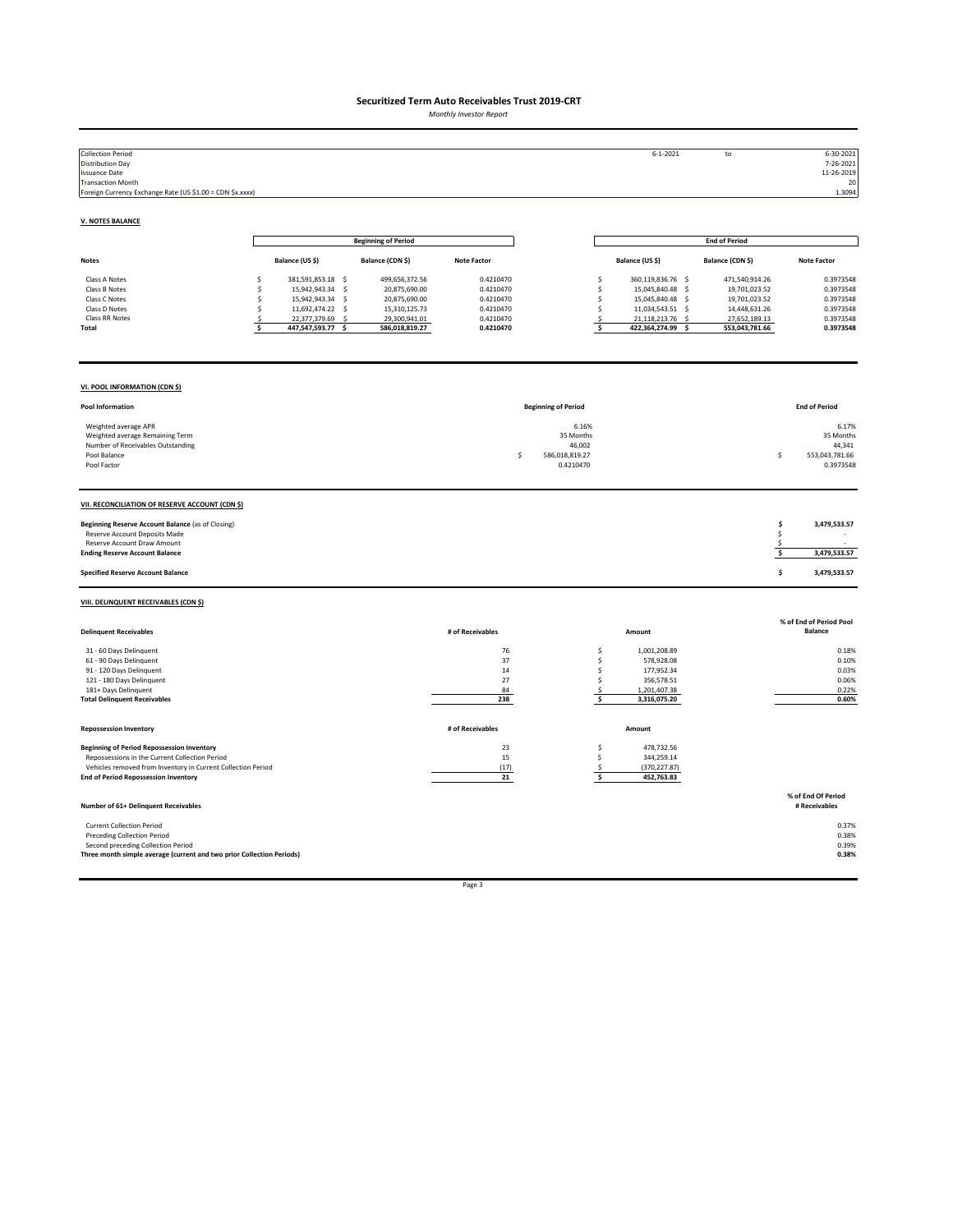*Monthly Investor Report*

| <b>Collection Period</b><br><b>Distribution Day</b><br><b>Issuance Date</b><br><b>Transaction Month</b><br>Foreign Currency Exchange Rate (US \$1.00 = CDN \$x.xxxx)                                               |                                                                                                                                                          |                                                                                                      |                                                                            |                                                                   | $6 - 1 - 2021$                                                                                                                                             | to                                                                                                   | $6 - 30 - 2021$<br>7-26-2021<br>11-26-2019<br>20<br>1.3094                 |
|--------------------------------------------------------------------------------------------------------------------------------------------------------------------------------------------------------------------|----------------------------------------------------------------------------------------------------------------------------------------------------------|------------------------------------------------------------------------------------------------------|----------------------------------------------------------------------------|-------------------------------------------------------------------|------------------------------------------------------------------------------------------------------------------------------------------------------------|------------------------------------------------------------------------------------------------------|----------------------------------------------------------------------------|
| <b>V. NOTES BALANCE</b>                                                                                                                                                                                            |                                                                                                                                                          |                                                                                                      |                                                                            |                                                                   |                                                                                                                                                            |                                                                                                      |                                                                            |
|                                                                                                                                                                                                                    |                                                                                                                                                          | <b>Beginning of Period</b>                                                                           |                                                                            |                                                                   |                                                                                                                                                            | <b>End of Period</b>                                                                                 |                                                                            |
| <b>Notes</b>                                                                                                                                                                                                       | Balance (US \$)                                                                                                                                          | Balance (CDN \$)                                                                                     | <b>Note Factor</b>                                                         |                                                                   | Balance (US \$)                                                                                                                                            | Balance (CDN \$)                                                                                     | <b>Note Factor</b>                                                         |
| Class A Notes<br>Class B Notes<br>Class C Notes<br>Class D Notes<br>Class RR Notes<br>Total                                                                                                                        | \$<br>381,591,853.18 \$<br>\$<br>15,942,943.34 \$<br>15,942,943.34 \$<br>Ś<br>\$<br>11,692,474.22 \$<br>22,377,379.69 \$<br>s<br>\$<br>447,547,593.77 \$ | 499,656,372.56<br>20,875,690.00<br>20,875,690.00<br>15,310,125.73<br>29,300,941.01<br>586,018,819.27 | 0.4210470<br>0.4210470<br>0.4210470<br>0.4210470<br>0.4210470<br>0.4210470 |                                                                   | \$<br>360,119,836.76 \$<br>\$<br>15,045,840.48 \$<br>\$<br>15,045,840.48 \$<br>\$<br>11,034,543.51 \$<br>21,118,213.76 \$<br>\$<br>\$<br>422,364,274.99 \$ | 471,540,914.26<br>19,701,023.52<br>19,701,023.52<br>14,448,631.26<br>27,652,189.13<br>553,043,781.66 | 0.3973548<br>0.3973548<br>0.3973548<br>0.3973548<br>0.3973548<br>0.3973548 |
| VI. POOL INFORMATION (CDN \$)                                                                                                                                                                                      |                                                                                                                                                          |                                                                                                      |                                                                            |                                                                   |                                                                                                                                                            |                                                                                                      |                                                                            |
| Pool Information                                                                                                                                                                                                   |                                                                                                                                                          |                                                                                                      |                                                                            | <b>Beginning of Period</b>                                        |                                                                                                                                                            |                                                                                                      | <b>End of Period</b>                                                       |
| Weighted average APR<br>Weighted average Remaining Term<br>Number of Receivables Outstanding<br>Pool Balance<br>Pool Factor                                                                                        |                                                                                                                                                          |                                                                                                      |                                                                            | 6.16%<br>35 Months<br>46,002<br>\$<br>586,018,819.27<br>0.4210470 |                                                                                                                                                            |                                                                                                      | 6.17%<br>35 Months<br>44,341<br>553,043,781.66<br>\$<br>0.3973548          |
| VII. RECONCILIATION OF RESERVE ACCOUNT (CDN \$)                                                                                                                                                                    |                                                                                                                                                          |                                                                                                      |                                                                            |                                                                   |                                                                                                                                                            |                                                                                                      |                                                                            |
| Beginning Reserve Account Balance (as of Closing)<br>Reserve Account Deposits Made<br>Reserve Account Draw Amount<br><b>Ending Reserve Account Balance</b>                                                         |                                                                                                                                                          |                                                                                                      |                                                                            |                                                                   |                                                                                                                                                            |                                                                                                      | \$<br>3,479,533.57<br>\$<br>\$<br>\$<br>3,479,533.57                       |
| <b>Specified Reserve Account Balance</b>                                                                                                                                                                           |                                                                                                                                                          |                                                                                                      |                                                                            |                                                                   |                                                                                                                                                            |                                                                                                      | \$<br>3,479,533.57                                                         |
| VIII. DELINQUENT RECEIVABLES (CDN \$)                                                                                                                                                                              |                                                                                                                                                          |                                                                                                      |                                                                            |                                                                   |                                                                                                                                                            |                                                                                                      |                                                                            |
| <b>Delinquent Receivables</b>                                                                                                                                                                                      |                                                                                                                                                          |                                                                                                      | # of Receivables                                                           |                                                                   | Amount                                                                                                                                                     |                                                                                                      | % of End of Period Pool<br>Balance                                         |
| 31 - 60 Days Delinquent<br>61 - 90 Days Delinquent<br>91 - 120 Days Delinquent<br>121 - 180 Days Delinquent<br>181+ Days Delinquent<br><b>Total Delinquent Receivables</b>                                         |                                                                                                                                                          |                                                                                                      | 76<br>37<br>14<br>27<br>84<br>238                                          |                                                                   | \$<br>1,001,208.89<br>\$<br>578,928.08<br>\$<br>177,952.34<br>\$<br>356,578.51<br>1,201,407.38<br>$\mathsf{S}$<br>\$<br>3,316,075.20                       |                                                                                                      | 0.18%<br>0.10%<br>0.03%<br>0.06%<br>0.22%<br>0.60%                         |
| <b>Repossession Inventory</b>                                                                                                                                                                                      |                                                                                                                                                          |                                                                                                      | # of Receivables                                                           |                                                                   | Amount                                                                                                                                                     |                                                                                                      |                                                                            |
| <b>Beginning of Period Repossession Inventory</b><br>Repossessions in the Current Collection Period<br>Vehicles removed from Inventory in Current Collection Period<br><b>End of Period Repossession Inventory</b> |                                                                                                                                                          |                                                                                                      | 23<br>15<br>(17)<br>21                                                     |                                                                   | 478,732.56<br>\$<br>\$<br>344,259.14<br>(370, 227.87)<br>\$<br>\$<br>452,763.83                                                                            |                                                                                                      |                                                                            |
| Number of 61+ Delinquent Receivables                                                                                                                                                                               |                                                                                                                                                          |                                                                                                      |                                                                            |                                                                   |                                                                                                                                                            |                                                                                                      | % of End Of Period<br># Receivables                                        |
| <b>Current Collection Period</b><br><b>Preceding Collection Period</b><br>Second preceding Collection Period<br>Three month simple average (current and two prior Collection Periods)                              |                                                                                                                                                          |                                                                                                      |                                                                            |                                                                   |                                                                                                                                                            |                                                                                                      | 0.37%<br>0.38%<br>0.39%<br>0.38%                                           |